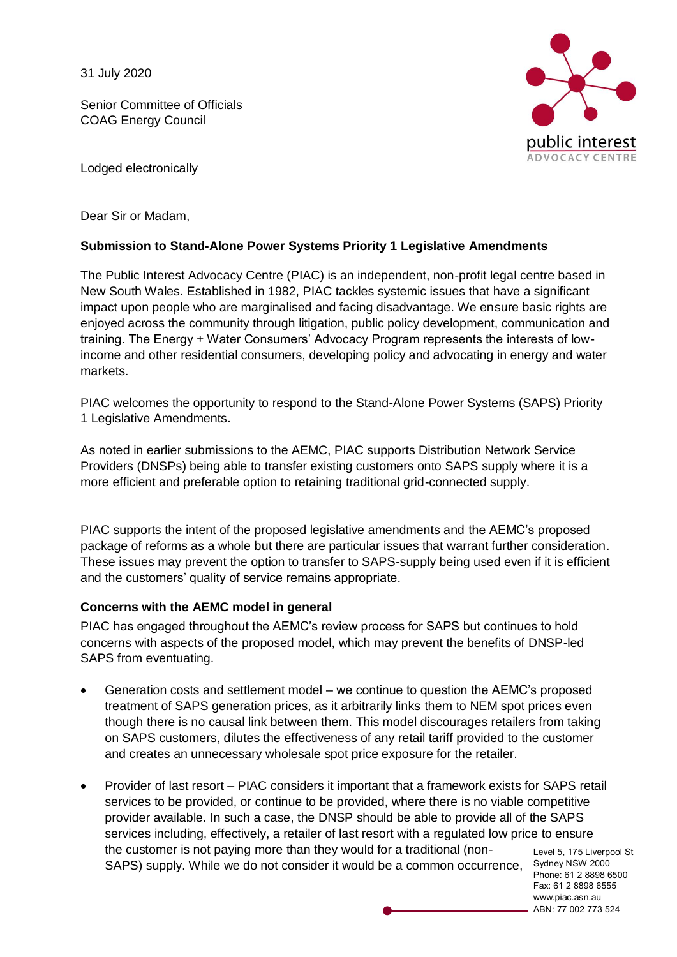31 July 2020

Senior Committee of Officials COAG Energy Council



Lodged electronically

Dear Sir or Madam,

## **Submission to Stand-Alone Power Systems Priority 1 Legislative Amendments**

The Public Interest Advocacy Centre (PIAC) is an independent, non-profit legal centre based in New South Wales. Established in 1982, PIAC tackles systemic issues that have a significant impact upon people who are marginalised and facing disadvantage. We ensure basic rights are enjoyed across the community through litigation, public policy development, communication and training. The Energy + Water Consumers' Advocacy Program represents the interests of lowincome and other residential consumers, developing policy and advocating in energy and water markets.

PIAC welcomes the opportunity to respond to the Stand-Alone Power Systems (SAPS) Priority 1 Legislative Amendments.

As noted in earlier submissions to the AEMC, PIAC supports Distribution Network Service Providers (DNSPs) being able to transfer existing customers onto SAPS supply where it is a more efficient and preferable option to retaining traditional grid-connected supply.

PIAC supports the intent of the proposed legislative amendments and the AEMC's proposed package of reforms as a whole but there are particular issues that warrant further consideration. These issues may prevent the option to transfer to SAPS-supply being used even if it is efficient and the customers' quality of service remains appropriate.

# **Concerns with the AEMC model in general**

PIAC has engaged throughout the AEMC's review process for SAPS but continues to hold concerns with aspects of the proposed model, which may prevent the benefits of DNSP-led SAPS from eventuating.

- Generation costs and settlement model we continue to question the AEMC's proposed treatment of SAPS generation prices, as it arbitrarily links them to NEM spot prices even though there is no causal link between them. This model discourages retailers from taking on SAPS customers, dilutes the effectiveness of any retail tariff provided to the customer and creates an unnecessary wholesale spot price exposure for the retailer.
- Level 5, 175 Liverpool St SAPS) supply. While we do not consider it would be a common occurrence, Sydney NSW 2000 Provider of last resort – PIAC considers it important that a framework exists for SAPS retail services to be provided, or continue to be provided, where there is no viable competitive provider available. In such a case, the DNSP should be able to provide all of the SAPS services including, effectively, a retailer of last resort with a regulated low price to ensure the customer is not paying more than they would for a traditional (non-

Phone: 61 2 8898 6500 Fax: 61 2 8898 6555 www.piac.asn.au ABN: 77 002 773 524